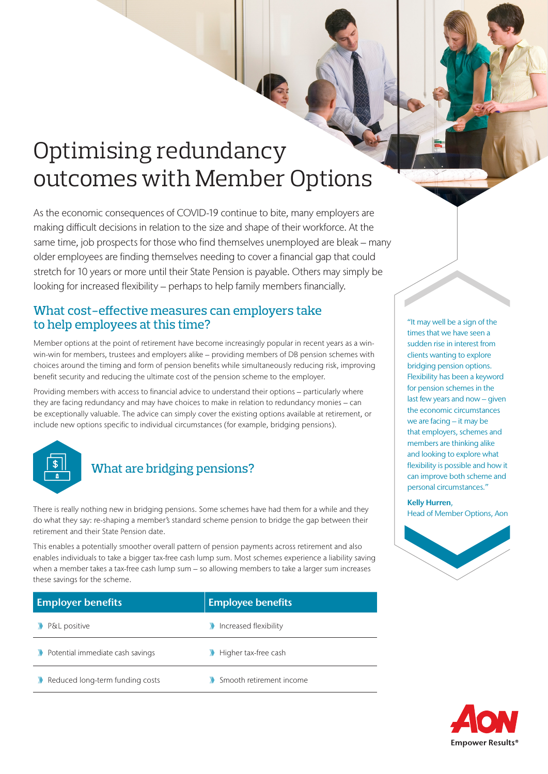# Optimising redundancy outcomes with Member Options

As the economic consequences of COVID-19 continue to bite, many employers are making difficult decisions in relation to the size and shape of their workforce. At the same time, job prospects for those who find themselves unemployed are bleak – many older employees are finding themselves needing to cover a financial gap that could stretch for 10 years or more until their State Pension is payable. Others may simply be looking for increased flexibility – perhaps to help family members financially.

## What cost-effective measures can employers take to help employees at this time?

Member options at the point of retirement have become increasingly popular in recent years as a winwin-win for members, trustees and employers alike – providing members of DB pension schemes with choices around the timing and form of pension benefits while simultaneously reducing risk, improving benefit security and reducing the ultimate cost of the pension scheme to the employer.

Providing members with access to financial advice to understand their options – particularly where they are facing redundancy and may have choices to make in relation to redundancy monies – can be exceptionally valuable. The advice can simply cover the existing options available at retirement, or include new options specific to individual circumstances (for example, bridging pensions).



# What are bridging pensions?

There is really nothing new in bridging pensions. Some schemes have had them for a while and they do what they say: re-shaping a member's standard scheme pension to bridge the gap between their retirement and their State Pension date.

This enables a potentially smoother overall pattern of pension payments across retirement and also enables individuals to take a bigger tax-free cash lump sum. Most schemes experience a liability saving when a member takes a tax-free cash lump sum – so allowing members to take a larger sum increases these savings for the scheme.

| <b>Employer benefits</b>         | <b>Employee benefits</b> |
|----------------------------------|--------------------------|
| P&L positive                     | Increased flexibility    |
| Potential immediate cash savings | Higher tax-free cash     |
| Reduced long-term funding costs  | Smooth retirement income |

"It may well be a sign of the times that we have seen a sudden rise in interest from clients wanting to explore bridging pension options. Flexibility has been a keyword for pension schemes in the last few years and now – given the economic circumstances we are facing – it may be that employers, schemes and members are thinking alike and looking to explore what flexibility is possible and how it can improve both scheme and personal circumstances."

### Kelly Hurren,

Head of Member Options, Aon